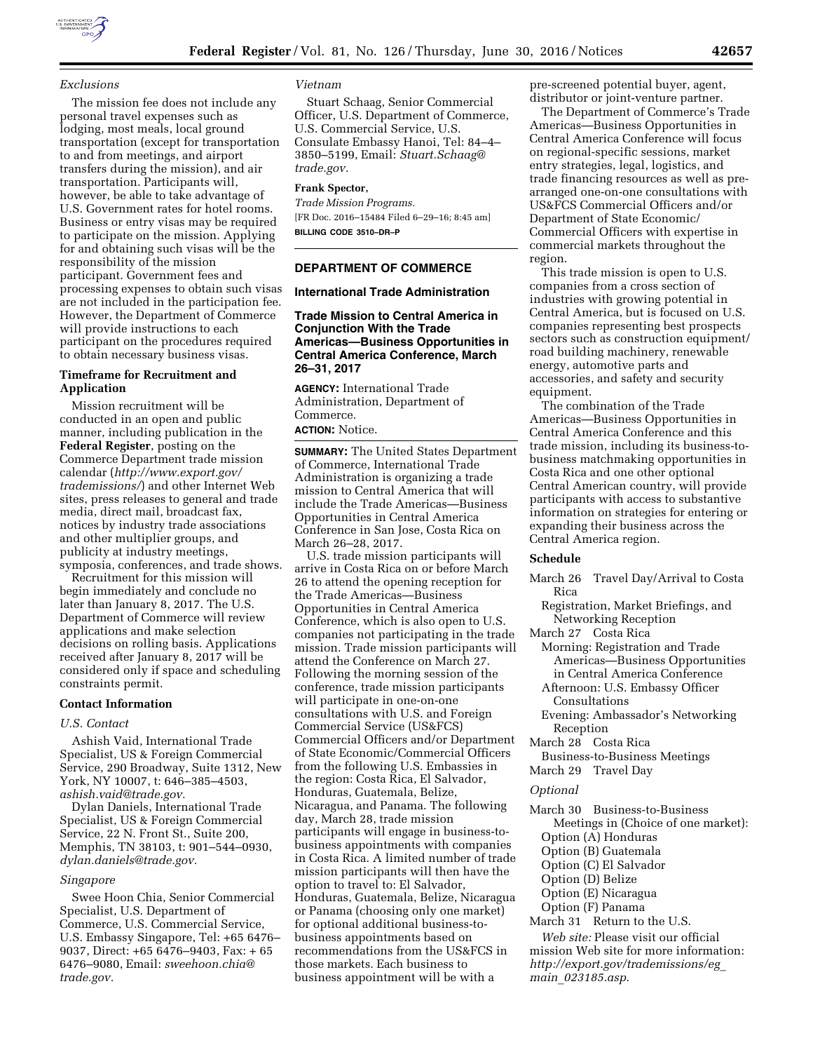

The mission fee does not include any personal travel expenses such as lodging, most meals, local ground transportation (except for transportation to and from meetings, and airport transfers during the mission), and air transportation. Participants will, however, be able to take advantage of U.S. Government rates for hotel rooms. Business or entry visas may be required to participate on the mission. Applying for and obtaining such visas will be the responsibility of the mission participant. Government fees and processing expenses to obtain such visas are not included in the participation fee. However, the Department of Commerce will provide instructions to each participant on the procedures required to obtain necessary business visas.

# **Timeframe for Recruitment and Application**

Mission recruitment will be conducted in an open and public manner, including publication in the **Federal Register**, posting on the Commerce Department trade mission calendar (*[http://www.export.gov/](http://www.export.gov/trademissions/) [trademissions/](http://www.export.gov/trademissions/)*) and other Internet Web sites, press releases to general and trade media, direct mail, broadcast fax, notices by industry trade associations and other multiplier groups, and publicity at industry meetings, symposia, conferences, and trade shows.

Recruitment for this mission will begin immediately and conclude no later than January 8, 2017. The U.S. Department of Commerce will review applications and make selection decisions on rolling basis. Applications received after January 8, 2017 will be considered only if space and scheduling constraints permit.

#### **Contact Information**

### *U.S. Contact*

Ashish Vaid, International Trade Specialist, US & Foreign Commercial Service, 290 Broadway, Suite 1312, New York, NY 10007, t: 646–385–4503, *[ashish.vaid@trade.gov.](mailto:ashish.vaid@trade.gov)* 

Dylan Daniels, International Trade Specialist, US & Foreign Commercial Service, 22 N. Front St., Suite 200, Memphis, TN 38103, t: 901–544–0930, *[dylan.daniels@trade.gov.](mailto:dylan.daniels@trade.gov)* 

#### *Singapore*

Swee Hoon Chia, Senior Commercial Specialist, U.S. Department of Commerce, U.S. Commercial Service, U.S. Embassy Singapore, Tel: +65 6476– 9037, Direct: +65 6476–9403, Fax: + 65 6476–9080, Email: *[sweehoon.chia@](mailto:sweehoon.chia@trade.gov) [trade.gov.](mailto:sweehoon.chia@trade.gov)* 

### *Vietnam*

Stuart Schaag, Senior Commercial Officer, U.S. Department of Commerce, U.S. Commercial Service, U.S. Consulate Embassy Hanoi, Tel: 84–4– 3850–5199, Email: *[Stuart.Schaag@](mailto:Stuart.Schaag@trade.gov) [trade.gov.](mailto:Stuart.Schaag@trade.gov)* 

# **Frank Spector,**

*Trade Mission Programs.*  [FR Doc. 2016–15484 Filed 6–29–16; 8:45 am] **BILLING CODE 3510–DR–P** 

## **DEPARTMENT OF COMMERCE**

# **International Trade Administration**

# **Trade Mission to Central America in Conjunction With the Trade Americas—Business Opportunities in Central America Conference, March 26–31, 2017**

**AGENCY:** International Trade Administration, Department of Commerce. **ACTION:** Notice.

**SUMMARY:** The United States Department of Commerce, International Trade Administration is organizing a trade mission to Central America that will include the Trade Americas—Business Opportunities in Central America Conference in San Jose, Costa Rica on March 26–28, 2017.

U.S. trade mission participants will arrive in Costa Rica on or before March 26 to attend the opening reception for the Trade Americas—Business Opportunities in Central America Conference, which is also open to U.S. companies not participating in the trade mission. Trade mission participants will attend the Conference on March 27. Following the morning session of the conference, trade mission participants will participate in one-on-one consultations with U.S. and Foreign Commercial Service (US&FCS) Commercial Officers and/or Department of State Economic/Commercial Officers from the following U.S. Embassies in the region: Costa Rica, El Salvador, Honduras, Guatemala, Belize, Nicaragua, and Panama. The following day, March 28, trade mission participants will engage in business-tobusiness appointments with companies in Costa Rica. A limited number of trade mission participants will then have the option to travel to: El Salvador, Honduras, Guatemala, Belize, Nicaragua or Panama (choosing only one market) for optional additional business-tobusiness appointments based on recommendations from the US&FCS in those markets. Each business to business appointment will be with a

pre-screened potential buyer, agent, distributor or joint-venture partner.

The Department of Commerce's Trade Americas—Business Opportunities in Central America Conference will focus on regional-specific sessions, market entry strategies, legal, logistics, and trade financing resources as well as prearranged one-on-one consultations with US&FCS Commercial Officers and/or Department of State Economic/ Commercial Officers with expertise in commercial markets throughout the region.

This trade mission is open to U.S. companies from a cross section of industries with growing potential in Central America, but is focused on U.S. companies representing best prospects sectors such as construction equipment/ road building machinery, renewable energy, automotive parts and accessories, and safety and security equipment.

The combination of the Trade Americas—Business Opportunities in Central America Conference and this trade mission, including its business-tobusiness matchmaking opportunities in Costa Rica and one other optional Central American country, will provide participants with access to substantive information on strategies for entering or expanding their business across the Central America region.

#### **Schedule**

- March 26 Travel Day/Arrival to Costa Rica
	- Registration, Market Briefings, and Networking Reception
- March 27 Costa Rica
	- Morning: Registration and Trade Americas—Business Opportunities in Central America Conference
	- Afternoon: U.S. Embassy Officer Consultations
	- Evening: Ambassador's Networking Reception
- March 28 Costa Rica
- Business-to-Business Meetings March 29 Travel Day

#### *Optional*

March 30 Business-to-Business Meetings in (Choice of one market):

- Option (A) Honduras
- Option (B) Guatemala
- Option (C) El Salvador
- Option (D) Belize
- Option (E) Nicaragua
- Option (F) Panama
- March 31 Return to the U.S.

*Web site:* Please visit our official mission Web site for more information: *[http://export.gov/trademissions/eg](http://export.gov/trademissions/eg_main_023185.asp)*\_ *main*\_*[023185.asp](http://export.gov/trademissions/eg_main_023185.asp)*.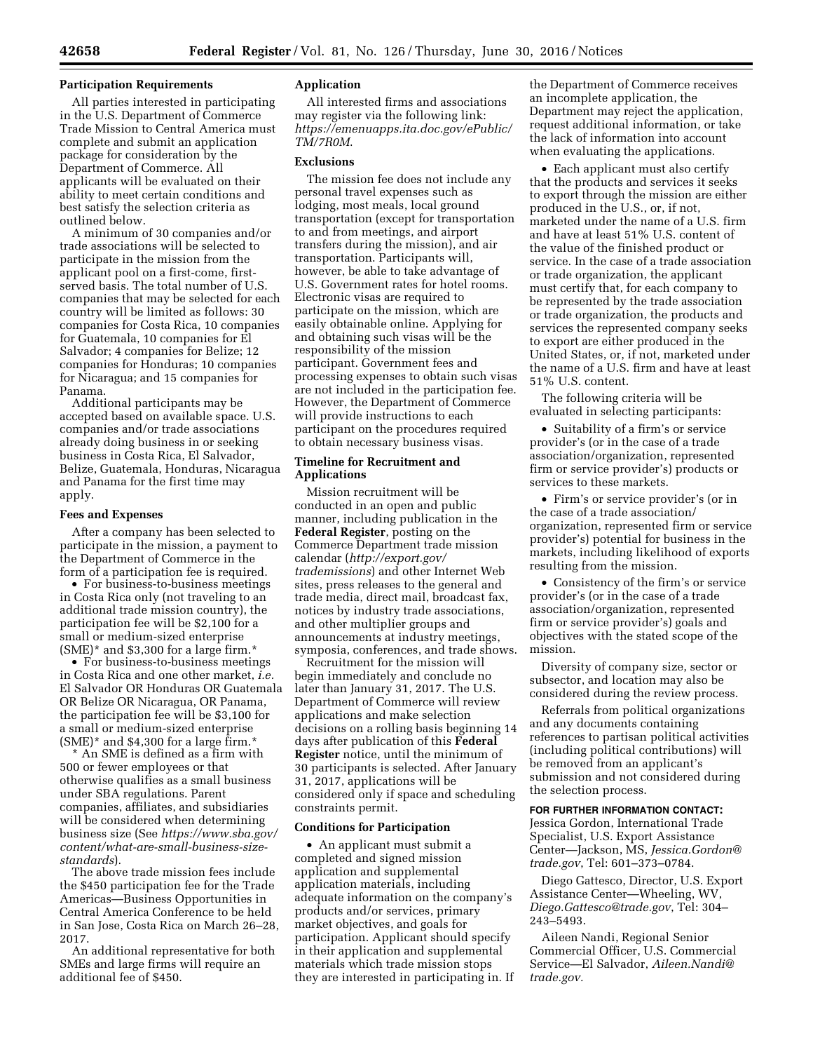# **Participation Requirements**

All parties interested in participating in the U.S. Department of Commerce Trade Mission to Central America must complete and submit an application package for consideration by the Department of Commerce. All applicants will be evaluated on their ability to meet certain conditions and best satisfy the selection criteria as outlined below.

A minimum of 30 companies and/or trade associations will be selected to participate in the mission from the applicant pool on a first-come, firstserved basis. The total number of U.S. companies that may be selected for each country will be limited as follows: 30 companies for Costa Rica, 10 companies for Guatemala, 10 companies for El Salvador; 4 companies for Belize; 12 companies for Honduras; 10 companies for Nicaragua; and 15 companies for Panama.

Additional participants may be accepted based on available space. U.S. companies and/or trade associations already doing business in or seeking business in Costa Rica, El Salvador, Belize, Guatemala, Honduras, Nicaragua and Panama for the first time may apply.

#### **Fees and Expenses**

After a company has been selected to participate in the mission, a payment to the Department of Commerce in the form of a participation fee is required.

• For business-to-business meetings in Costa Rica only (not traveling to an additional trade mission country), the participation fee will be \$2,100 for a small or medium-sized enterprise  $(SME)^*$  and \$3,300 for a large firm.\*

• For business-to-business meetings in Costa Rica and one other market, *i.e.*  El Salvador OR Honduras OR Guatemala OR Belize OR Nicaragua, OR Panama, the participation fee will be \$3,100 for a small or medium-sized enterprise  $(SME)^*$  and \$4,300 for a large firm.\*

\* An SME is defined as a firm with 500 or fewer employees or that otherwise qualifies as a small business under SBA regulations. Parent companies, affiliates, and subsidiaries will be considered when determining business size (See *[https://www.sba.gov/](https://www.sba.gov/content/what-are-small-business-size-standards)  [content/what-are-small-business-size](https://www.sba.gov/content/what-are-small-business-size-standards)[standards](https://www.sba.gov/content/what-are-small-business-size-standards)*).

The above trade mission fees include the \$450 participation fee for the Trade Americas—Business Opportunities in Central America Conference to be held in San Jose, Costa Rica on March 26–28, 2017.

An additional representative for both SMEs and large firms will require an additional fee of \$450.

### **Application**

All interested firms and associations may register via the following link: *[https://emenuapps.ita.doc.gov/ePublic/](https://emenuapps.ita.doc.gov/ePublic/TM/7R0M) [TM/7R0M](https://emenuapps.ita.doc.gov/ePublic/TM/7R0M)*.

### **Exclusions**

The mission fee does not include any personal travel expenses such as lodging, most meals, local ground transportation (except for transportation to and from meetings, and airport transfers during the mission), and air transportation. Participants will, however, be able to take advantage of U.S. Government rates for hotel rooms. Electronic visas are required to participate on the mission, which are easily obtainable online. Applying for and obtaining such visas will be the responsibility of the mission participant. Government fees and processing expenses to obtain such visas are not included in the participation fee. However, the Department of Commerce will provide instructions to each participant on the procedures required to obtain necessary business visas.

### **Timeline for Recruitment and Applications**

Mission recruitment will be conducted in an open and public manner, including publication in the **Federal Register**, posting on the Commerce Department trade mission calendar (*[http://export.gov/](http://export.gov/trademissions) [trademissions](http://export.gov/trademissions)*) and other Internet Web sites, press releases to the general and trade media, direct mail, broadcast fax, notices by industry trade associations, and other multiplier groups and announcements at industry meetings, symposia, conferences, and trade shows.

Recruitment for the mission will begin immediately and conclude no later than January 31, 2017. The U.S. Department of Commerce will review applications and make selection decisions on a rolling basis beginning 14 days after publication of this **Federal Register** notice, until the minimum of 30 participants is selected. After January 31, 2017, applications will be considered only if space and scheduling constraints permit.

### **Conditions for Participation**

• An applicant must submit a completed and signed mission application and supplemental application materials, including adequate information on the company's products and/or services, primary market objectives, and goals for participation. Applicant should specify in their application and supplemental materials which trade mission stops they are interested in participating in. If

the Department of Commerce receives an incomplete application, the Department may reject the application, request additional information, or take the lack of information into account when evaluating the applications.

• Each applicant must also certify that the products and services it seeks to export through the mission are either produced in the U.S., or, if not, marketed under the name of a U.S. firm and have at least 51% U.S. content of the value of the finished product or service. In the case of a trade association or trade organization, the applicant must certify that, for each company to be represented by the trade association or trade organization, the products and services the represented company seeks to export are either produced in the United States, or, if not, marketed under the name of a U.S. firm and have at least 51% U.S. content.

The following criteria will be evaluated in selecting participants:

• Suitability of a firm's or service provider's (or in the case of a trade association/organization, represented firm or service provider's) products or services to these markets.

• Firm's or service provider's (or in the case of a trade association/ organization, represented firm or service provider's) potential for business in the markets, including likelihood of exports resulting from the mission.

• Consistency of the firm's or service provider's (or in the case of a trade association/organization, represented firm or service provider's) goals and objectives with the stated scope of the mission.

Diversity of company size, sector or subsector, and location may also be considered during the review process.

Referrals from political organizations and any documents containing references to partisan political activities (including political contributions) will be removed from an applicant's submission and not considered during the selection process.

# **FOR FURTHER INFORMATION CONTACT:**

Jessica Gordon, International Trade Specialist, U.S. Export Assistance Center—Jackson, MS, *[Jessica.Gordon@](mailto:Jessica.Gordon@trade.gov) [trade.gov](mailto:Jessica.Gordon@trade.gov)*, Tel: 601–373–0784.

Diego Gattesco, Director, U.S. Export Assistance Center—Wheeling, WV, *[Diego.Gattesco@trade.gov](mailto:Diego.Gattesco@trade.gov)*, Tel: 304– 243–5493.

Aileen Nandi, Regional Senior Commercial Officer, U.S. Commercial Service—El Salvador, *[Aileen.Nandi@](mailto:Aileen.Nandi@trade.gov) [trade.gov.](mailto:Aileen.Nandi@trade.gov)*